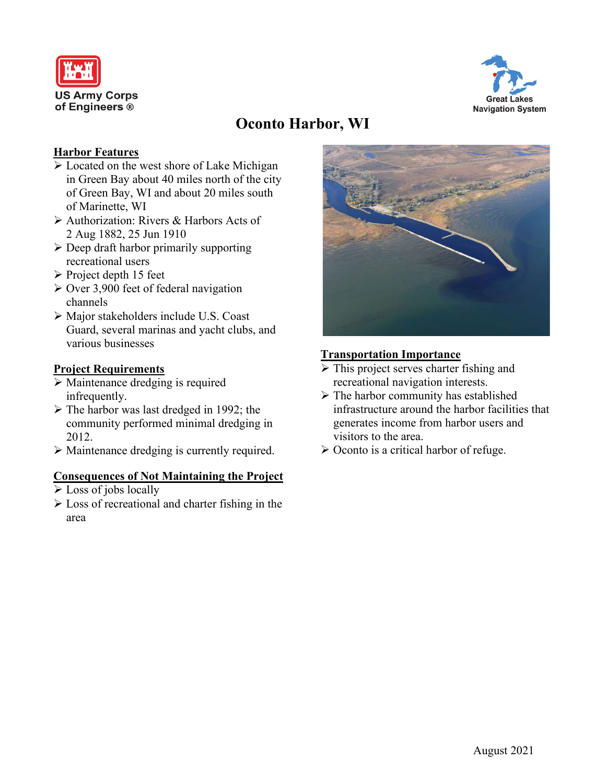



# **Oconto Harbor, WI**

### **Harbor Features**

- Located on the west shore of Lake Michigan in Green Bay about 40 miles north of the city of Green Bay, WI and about 20 miles south of Marinette, WI
- Authorization: Rivers & Harbors Acts of 2 Aug 1882, 25 Jun 1910
- $\triangleright$  Deep draft harbor primarily supporting recreational users
- $\triangleright$  Project depth 15 feet
- $\geq$  Over 3,900 feet of federal navigation channels
- Major stakeholders include U.S. Coast Guard, several marinas and yacht clubs, and various businesses

### **Project Requirements**

- $\triangleright$  Maintenance dredging is required infrequently.
- The harbor was last dredged in 1992; the community performed minimal dredging in 2012.
- Maintenance dredging is currently required.

### **Consequences of Not Maintaining the Project**

- $\triangleright$  Loss of jobs locally
- $\triangleright$  Loss of recreational and charter fishing in the area



### **Transportation Importance**

- $\triangleright$  This project serves charter fishing and recreational navigation interests.
- $\triangleright$  The harbor community has established infrastructure around the harbor facilities that generates income from harbor users and visitors to the area.
- $\triangleright$  Oconto is a critical harbor of refuge.